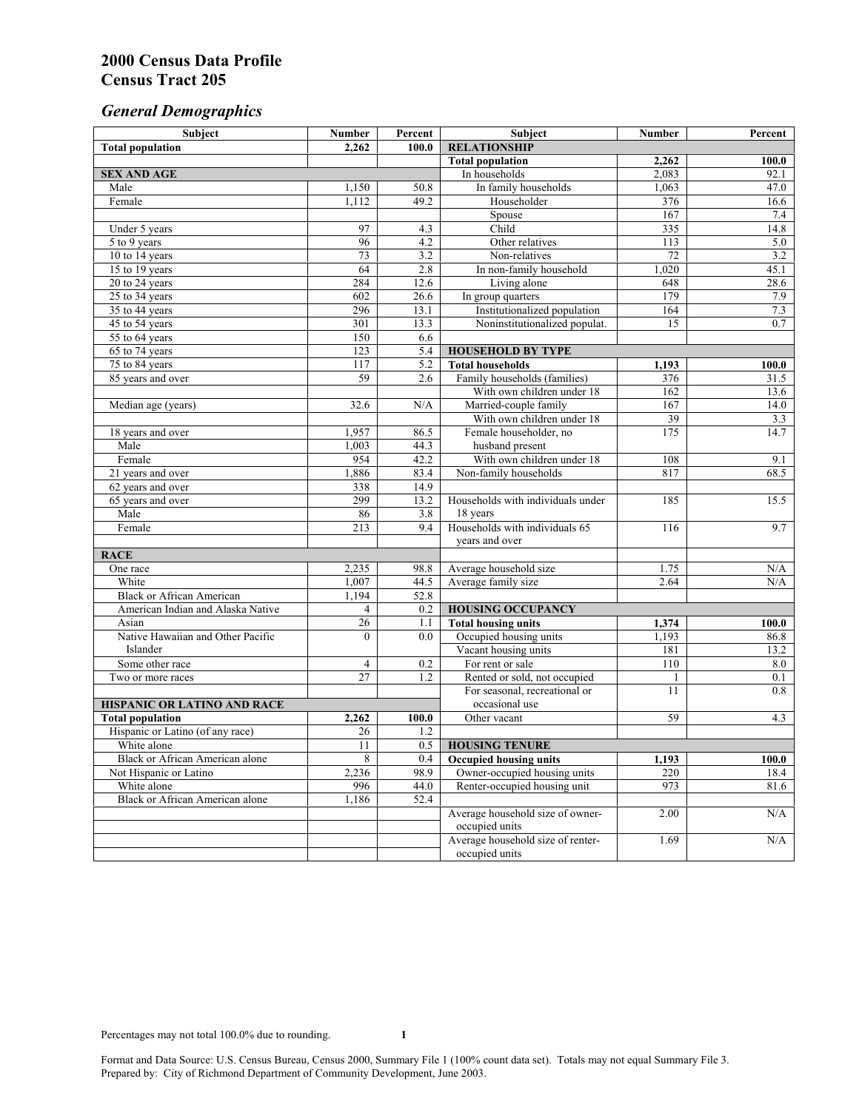# *General Demographics*

| Subject                           | <b>Number</b>    | Percent          | Subject                                             | <b>Number</b>    | Percent                 |
|-----------------------------------|------------------|------------------|-----------------------------------------------------|------------------|-------------------------|
| <b>Total population</b>           | 2,262            | 100.0            | <b>RELATIONSHIP</b>                                 |                  |                         |
|                                   |                  |                  | <b>Total population</b>                             | 2,262            | 100.0                   |
| <b>SEX AND AGE</b>                |                  |                  | In households                                       | 2,083            | 92.1                    |
| Male                              | 1,150            | 50.8             | In family households                                | 1,063            | 47.0                    |
| Female                            | 1,112            | 49.2             | Householder                                         | 376              | 16.6                    |
|                                   |                  |                  | Spouse                                              | $\overline{167}$ | 7.4                     |
| Under 5 years                     | 97               | 4.3              | Child                                               | 335              | 14.8                    |
| 5 to 9 years                      | 96               | $\overline{4.2}$ | Other relatives                                     | 113              | 5.0                     |
| 10 to 14 years                    | 73               | 3.2              | Non-relatives                                       | 72               | 3.2                     |
| 15 to 19 years                    | 64               | 2.8              | In non-family household                             | 1,020            | 45.1                    |
| 20 to 24 years                    | 284              | 12.6             | Living alone                                        | 648              | 28.6                    |
| 25 to 34 years                    | 602              | 26.6             | In group quarters                                   | 179              | 7.9                     |
| 35 to 44 years                    | 296              | 13.1             | Institutionalized population                        | 164              | 7.3<br>$\overline{0.7}$ |
| 45 to 54 years                    | 301<br>150       | 13.3             | Noninstitutionalized populat.                       | 15               |                         |
| 55 to 64 years                    | 123              | 6.6<br>5.4       |                                                     |                  |                         |
| 65 to 74 years<br>75 to 84 years  | 117              | 5.2              | <b>HOUSEHOLD BY TYPE</b><br><b>Total households</b> | 1,193            | 100.0                   |
| 85 years and over                 | 59               | 2.6              | Family households (families)                        | 376              | 31.5                    |
|                                   |                  |                  | With own children under 18                          | 162              | 13.6                    |
| Median age (years)                | 32.6             | N/A              | Married-couple family                               | 167              | 14.0                    |
|                                   |                  |                  | With own children under 18                          | 39               | 3.3                     |
| 18 years and over                 | 1,957            | 86.5             | Female householder, no                              | 175              | 14.7                    |
| Male                              | 1,003            | 44.3             | husband present                                     |                  |                         |
| Female                            | 954              | 42.2             | With own children under 18                          | 108              | 9.1                     |
| 21 years and over                 | 1,886            | 83.4             | Non-family households                               | 817              | 68.5                    |
| 62 years and over                 | 338              | 14.9             |                                                     |                  |                         |
| 65 years and over                 | 299              | 13.2             | Households with individuals under                   | 185              | 15.5                    |
| Male                              | 86               | 3.8              | 18 years                                            |                  |                         |
| Female                            | $\overline{213}$ | 9.4              | Households with individuals 65                      | 116              | 9.7                     |
|                                   |                  |                  | years and over                                      |                  |                         |
| <b>RACE</b>                       |                  |                  |                                                     |                  |                         |
| One race                          | 2,235            | 98.8             | Average household size                              | 1.75             | $\rm N/A$               |
| White                             | 1,007            | 44.5             | Average family size                                 | 2.64             | N/A                     |
| <b>Black or African American</b>  | 1,194            | 52.8             |                                                     |                  |                         |
| American Indian and Alaska Native | $\overline{4}$   | 0.2              | <b>HOUSING OCCUPANCY</b>                            |                  |                         |
| Asian                             | 26               | 1.1              | <b>Total housing units</b>                          | 1,374            | 100.0                   |
| Native Hawaiian and Other Pacific | $\theta$         | 0.0              | Occupied housing units                              | 1,193            | 86.8                    |
| Islander                          |                  |                  | Vacant housing units                                | 181              | 13.2                    |
| Some other race                   | $\overline{4}$   | 0.2              | For rent or sale                                    | 110              | 8.0                     |
| Two or more races                 | $\overline{27}$  | 1.2              | Rented or sold, not occupied                        | 1                | 0.1                     |
|                                   |                  |                  | For seasonal, recreational or                       | 11               | 0.8                     |
| HISPANIC OR LATINO AND RACE       |                  |                  | occasional use                                      |                  |                         |
| <b>Total population</b>           | 2,262            | 100.0            | Other vacant                                        | 59               | 4.3                     |
| Hispanic or Latino (of any race)  | 26               | 1.2              |                                                     |                  |                         |
| White alone                       | 11               | 0.5              | <b>HOUSING TENURE</b>                               |                  |                         |
| Black or African American alone   | 8                | 0.4              | <b>Occupied housing units</b>                       | 1,193            | 100.0                   |
| Not Hispanic or Latino            | 2,236            | 98.9             | Owner-occupied housing units                        | 220              | 18.4                    |
| White alone                       | 996              | 44.0             | Renter-occupied housing unit                        | 973              | 81.6                    |
| Black or African American alone   | 1,186            | 52.4             |                                                     |                  |                         |
|                                   |                  |                  | Average household size of owner-                    | 2.00             | N/A                     |
|                                   |                  |                  | occupied units                                      |                  |                         |
|                                   |                  |                  | Average household size of renter-                   | 1.69             | N/A                     |
|                                   |                  |                  | occupied units                                      |                  |                         |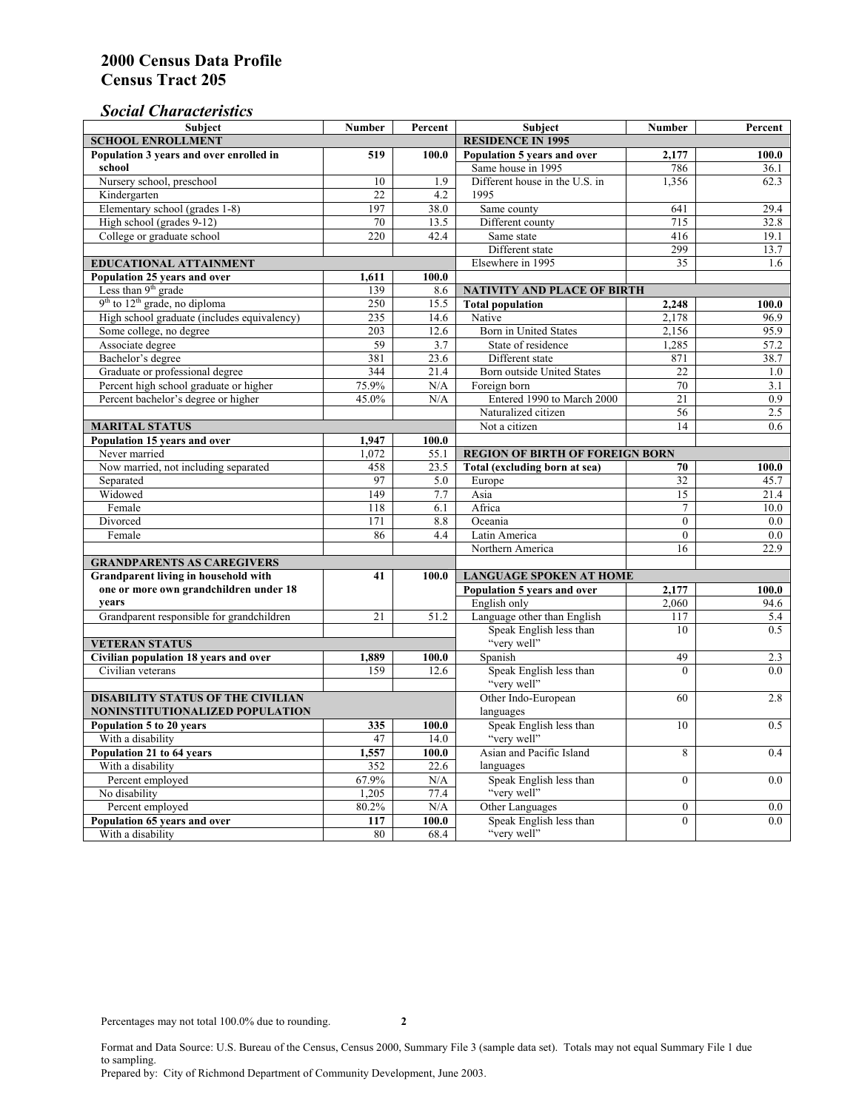### *Social Characteristics*

| <b>Subject</b>                              | <b>Number</b>            | Percent   | <b>Subject</b>                         | <b>Number</b>    | Percent |  |
|---------------------------------------------|--------------------------|-----------|----------------------------------------|------------------|---------|--|
| <b>SCHOOL ENROLLMENT</b>                    | <b>RESIDENCE IN 1995</b> |           |                                        |                  |         |  |
| Population 3 years and over enrolled in     | 519                      | 100.0     | Population 5 years and over            | 2,177            | 100.0   |  |
| school                                      |                          |           | Same house in 1995                     | 786              | 36.1    |  |
| Nursery school, preschool                   | 10                       | 1.9       | Different house in the U.S. in         | 1,356            | 62.3    |  |
| Kindergarten                                | 22                       | 4.2       | 1995                                   |                  |         |  |
| Elementary school (grades 1-8)              | 197                      | 38.0      | Same county                            | 641              | 29.4    |  |
| High school (grades 9-12)                   | 70                       | 13.5      | Different county                       | 715              | 32.8    |  |
| College or graduate school                  | 220                      | 42.4      | Same state                             | 416              | 19.1    |  |
|                                             |                          |           | Different state                        | 299              | 13.7    |  |
| EDUCATIONAL ATTAINMENT                      |                          |           | Elsewhere in 1995                      | 35               | 1.6     |  |
| Population 25 years and over                | 1,611                    | 100.0     |                                        |                  |         |  |
| Less than 9 <sup>th</sup> grade             | 139                      | 8.6       | NATIVITY AND PLACE OF BIRTH            |                  |         |  |
| $9th$ to $12th$ grade, no diploma           | 250                      | 15.5      | <b>Total population</b>                | 2,248            | 100.0   |  |
| High school graduate (includes equivalency) | 235                      | 14.6      | Native                                 | 2.178            | 96.9    |  |
| Some college, no degree                     | 203                      | 12.6      | Born in United States                  | 2,156            | 95.9    |  |
| Associate degree                            | 59                       | 3.7       | State of residence                     | 1,285            | 57.2    |  |
| Bachelor's degree                           | 381                      | 23.6      | Different state                        | 871              | 38.7    |  |
| Graduate or professional degree             | 344                      | 21.4      | Born outside United States             | 22               | 1.0     |  |
| Percent high school graduate or higher      | 75.9%                    | N/A       | Foreign born                           | 70               | 3.1     |  |
| Percent bachelor's degree or higher         | 45.0%                    | N/A       | Entered 1990 to March 2000             | 21               | 0.9     |  |
|                                             |                          |           | Naturalized citizen                    | 56               | 2.5     |  |
| <b>MARITAL STATUS</b>                       | Not a citizen            | 14        | 0.6                                    |                  |         |  |
| Population 15 years and over                | 1,947                    | 100.0     |                                        |                  |         |  |
| Never married                               | 1,072                    | 55.1      | <b>REGION OF BIRTH OF FOREIGN BORN</b> |                  |         |  |
| Now married, not including separated        | 458                      | 23.5      | Total (excluding born at sea)          | 70               | 100.0   |  |
| Separated                                   | 97                       | 5.0       | Europe                                 | 32               | 45.7    |  |
| Widowed                                     | 149                      | 7.7       | Asia                                   | 15               | 21.4    |  |
| Female                                      | 118                      | 6.1       | Africa                                 | $\overline{7}$   | 10.0    |  |
| Divorced                                    | 171                      | 8.8       | Oceania                                | $\Omega$         | 0.0     |  |
| Female                                      | 86                       | 4.4       | Latin America                          | $\theta$         | 0.0     |  |
|                                             |                          |           | Northern America                       | 16               | 22.9    |  |
| <b>GRANDPARENTS AS CAREGIVERS</b>           |                          |           |                                        |                  |         |  |
| Grandparent living in household with<br>41  |                          | 100.0     | <b>LANGUAGE SPOKEN AT HOME</b>         |                  |         |  |
| one or more own grandchildren under 18      |                          |           | Population 5 years and over            | 2,177            | 100.0   |  |
| years                                       |                          |           | English only                           | 2,060            | 94.6    |  |
| Grandparent responsible for grandchildren   | 21                       | 51.2      | Language other than English            | 117              | 5.4     |  |
|                                             |                          |           | Speak English less than                | 10               | 0.5     |  |
| <b>VETERAN STATUS</b>                       |                          |           | "very well"                            |                  |         |  |
| Civilian population 18 years and over       | 1,889                    | 100.0     | Spanish                                | 49               | 2.3     |  |
| Civilian veterans                           | 159                      | 12.6      | Speak English less than                | $\theta$         | 0.0     |  |
|                                             |                          |           | "very well"                            |                  |         |  |
| <b>DISABILITY STATUS OF THE CIVILIAN</b>    | Other Indo-European      | 60        | 2.8                                    |                  |         |  |
| NONINSTITUTIONALIZED POPULATION             | languages                |           |                                        |                  |         |  |
| Population 5 to 20 years                    | 335                      | 100.0     | Speak English less than                | 10               | 0.5     |  |
| With a disability                           | 47                       | 14.0      | "very well"                            |                  |         |  |
| Population 21 to 64 years                   | 1,557                    | 100.0     | Asian and Pacific Island               | 8                | 0.4     |  |
| With a disability                           | 352                      | 22.6      | languages                              |                  |         |  |
| Percent employed                            | 67.9%                    | N/A       | Speak English less than                | $\mathbf{0}$     | 0.0     |  |
| No disability                               | 1,205                    | 77.4      | "very well"                            |                  |         |  |
| Percent employed                            | 80.2%                    | $\rm N/A$ | Other Languages                        | $\boldsymbol{0}$ | $0.0\,$ |  |
| Population 65 years and over                | 117                      | 100.0     | Speak English less than                | $\overline{0}$   | 0.0     |  |
| With a disability                           | 80                       | 68.4      | "very well"                            |                  |         |  |

Format and Data Source: U.S. Bureau of the Census, Census 2000, Summary File 3 (sample data set). Totals may not equal Summary File 1 due to sampling.

Prepared by: City of Richmond Department of Community Development, June 2003.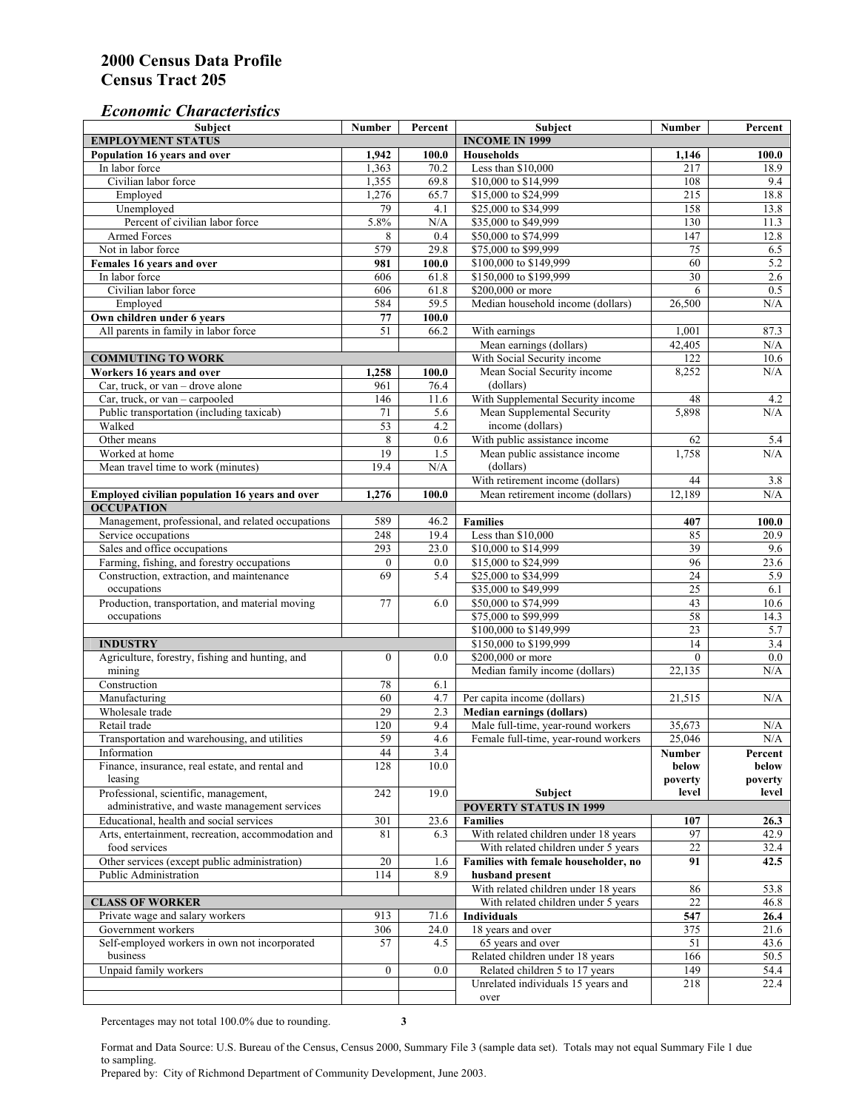### *Economic Characteristics*

| <b>Subject</b>                                            | Number           | Percent     | Subject                              | Number          | Percent          |
|-----------------------------------------------------------|------------------|-------------|--------------------------------------|-----------------|------------------|
| <b>EMPLOYMENT STATUS</b>                                  |                  |             | <b>INCOME IN 1999</b>                |                 |                  |
| Population 16 years and over                              | 1,942            | 100.0       | Households                           | 1,146           | 100.0            |
| In labor force                                            | 1,363            | 70.2        | Less than \$10,000                   | 217             | 18.9             |
| Civilian labor force                                      | 1,355            | 69.8        | \$10,000 to \$14,999                 | 108             | 9.4              |
| Employed                                                  | 1,276            | 65.7        | \$15,000 to \$24,999                 | 215             | 18.8             |
| Unemployed                                                | 79               | 4.1         | \$25,000 to \$34,999                 | 158             | 13.8             |
| Percent of civilian labor force                           | 5.8%             | N/A         | \$35,000 to \$49,999                 | 130             | 11.3             |
| Armed Forces                                              | 8                | 0.4         | \$50,000 to \$74,999                 | 147             | 12.8             |
| Not in labor force                                        | 579              | 29.8        | \$75,000 to \$99,999                 | 75              | 6.5              |
| Females 16 years and over                                 | 981              | 100.0       | \$100,000 to \$149,999               | 60              | 5.2              |
| In labor force                                            | 606              | 61.8        | \$150,000 to \$199,999               | $\overline{30}$ | 2.6              |
| Civilian labor force                                      | 606              | 61.8        | \$200,000 or more                    | 6               | 0.5              |
| Employed                                                  | 584              | 59.5        | Median household income (dollars)    | 26,500          | N/A              |
| Own children under 6 years                                | ${\bf 77}$       | 100.0       |                                      |                 |                  |
| All parents in family in labor force                      | 51               | 66.2        | With earnings                        | 1,001           | 87.3             |
|                                                           |                  |             | Mean earnings (dollars)              | 42,405          | N/A              |
| <b>COMMUTING TO WORK</b>                                  |                  |             | With Social Security income          | 122             | 10.6             |
| Workers 16 years and over                                 | 1,258            | 100.0       | Mean Social Security income          | 8,252           | N/A              |
| Car, truck, or van – drove alone                          | 961              | 76.4        | (dollars)                            |                 |                  |
| Car, truck, or van - carpooled                            | 146              | 11.6        | With Supplemental Security income    | 48              | 4.2              |
| Public transportation (including taxicab)                 | 71               | 5.6         | Mean Supplemental Security           | 5,898           | N/A              |
| Walked                                                    | 53               | 4.2         | income (dollars)                     |                 |                  |
| Other means                                               | 8                | $0.6\,$     | With public assistance income        | 62              | 5.4              |
| Worked at home                                            | 19               | 1.5         | Mean public assistance income        | 1,758           | N/A              |
| Mean travel time to work (minutes)                        | 19.4             | N/A         | (dollars)                            |                 |                  |
|                                                           |                  |             | With retirement income (dollars)     | 44              | 3.8              |
| Employed civilian population 16 years and over            | 1,276            | 100.0       | Mean retirement income (dollars)     | 12,189          | N/A              |
| <b>OCCUPATION</b>                                         |                  |             |                                      |                 |                  |
| Management, professional, and related occupations         | 589              | 46.2        | <b>Families</b>                      | 407             | 100.0            |
| Service occupations                                       | 248              | 19.4        | Less than \$10,000                   | 85              | 20.9             |
| Sales and office occupations                              | 293              | 23.0        | \$10,000 to \$14,999                 | 39              | 9.6              |
| Farming, fishing, and forestry occupations                | $\boldsymbol{0}$ | 0.0         | \$15,000 to \$24,999                 | 96              | 23.6             |
| Construction, extraction, and maintenance                 | 69               | 5.4         | \$25,000 to \$34,999                 | 24              | 5.9              |
| occupations                                               |                  |             | \$35,000 to \$49,999                 | $\overline{25}$ | 6.1              |
| Production, transportation, and material moving           | 77               | 6.0         | \$50,000 to \$74,999                 | 43              | 10.6             |
| occupations                                               |                  |             | \$75,000 to \$99,999                 | 58              | 14.3             |
|                                                           |                  |             | \$100,000 to \$149,999               | 23              | 5.7              |
| <b>INDUSTRY</b>                                           |                  |             | \$150,000 to \$199,999               | 14              | 3.4              |
| Agriculture, forestry, fishing and hunting, and           | $\boldsymbol{0}$ | 0.0         | \$200,000 or more                    | $\theta$        | $\overline{0.0}$ |
| mining                                                    |                  |             | Median family income (dollars)       | 22,135          | N/A              |
| Construction                                              | 78               | 6.1         |                                      |                 |                  |
| Manufacturing                                             | 60               | 4.7         | Per capita income (dollars)          | 21,515          | N/A              |
| Wholesale trade                                           | $\overline{29}$  | 2.3         | <b>Median earnings (dollars)</b>     |                 |                  |
| Retail trade                                              | 120              | 9.4         | Male full-time, year-round workers   | 35,673          | N/A              |
| Transportation and warehousing, and utilities             | 59               | 4.6         | Female full-time, year-round workers | 25,046          | N/A              |
| Information                                               | 44               | 3.4         |                                      | Number          | Percent          |
| Finance, insurance, real estate, and rental and           | 128              | 10.0        |                                      | below           | below            |
| leasing                                                   |                  |             |                                      | poverty         | poverty          |
| Professional, scientific, management,                     | 242              | 19.0        | Subject                              | level           | level            |
| administrative, and waste management services             |                  |             | <b>POVERTY STATUS IN 1999</b>        |                 |                  |
| Educational, health and social services                   | 301              | 23.6        | <b>Families</b>                      | 107             | 26.3             |
| Arts, entertainment, recreation, accommodation and        | 81               | 6.3         | With related children under 18 years | 97              | 42.9             |
| food services                                             |                  |             | With related children under 5 years  | 22              | 32.4             |
| Other services (except public administration)             | $20\,$           | 1.6         | Families with female householder, no | 91              | 42.5             |
| Public Administration                                     | 114              | 8.9         | husband present                      |                 |                  |
|                                                           |                  |             | With related children under 18 years | 86              | 53.8             |
| <b>CLASS OF WORKER</b>                                    |                  |             | With related children under 5 years  | 22              | 46.8             |
| Private wage and salary workers                           | 913              | 71.6        | Individuals                          | 547             | 26.4             |
| Government workers                                        |                  |             |                                      |                 |                  |
|                                                           | 306              | 24.0<br>4.5 | 18 years and over                    | 375<br>51       | 21.6             |
| Self-employed workers in own not incorporated<br>business | 57               |             | 65 years and over                    |                 | 43.6             |
|                                                           |                  |             | Related children under 18 years      | 166             | 50.5             |
| Unpaid family workers                                     | $\boldsymbol{0}$ | 0.0         | Related children 5 to 17 years       | 149             | 54.4             |
|                                                           |                  |             | Unrelated individuals 15 years and   | 218             | 22.4             |
|                                                           |                  |             | over                                 |                 |                  |

Percentages may not total 100.0% due to rounding. **3** 

Format and Data Source: U.S. Bureau of the Census, Census 2000, Summary File 3 (sample data set). Totals may not equal Summary File 1 due to sampling.

Prepared by: City of Richmond Department of Community Development, June 2003.